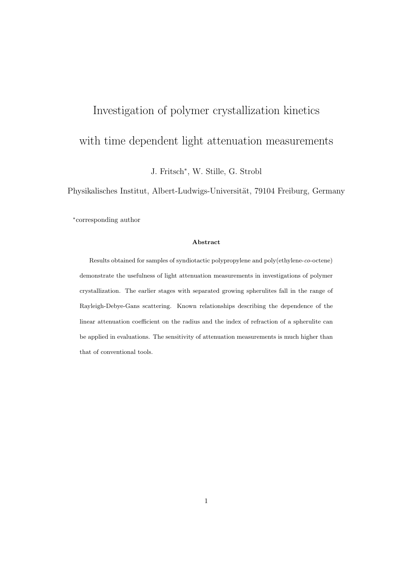# Investigation of polymer crystallization kinetics with time dependent light attenuation measurements

J. Fritsch<sup>∗</sup> , W. Stille, G. Strobl

Physikalisches Institut, Albert-Ludwigs-Universität, 79104 Freiburg, Germany

∗ corresponding author

#### Abstract

Results obtained for samples of syndiotactic polypropylene and poly(ethylene-co-octene) demonstrate the usefulness of light attenuation measurements in investigations of polymer crystallization. The earlier stages with separated growing spherulites fall in the range of Rayleigh-Debye-Gans scattering. Known relationships describing the dependence of the linear attenuation coefficient on the radius and the index of refraction of a spherulite can be applied in evaluations. The sensitivity of attenuation measurements is much higher than that of conventional tools.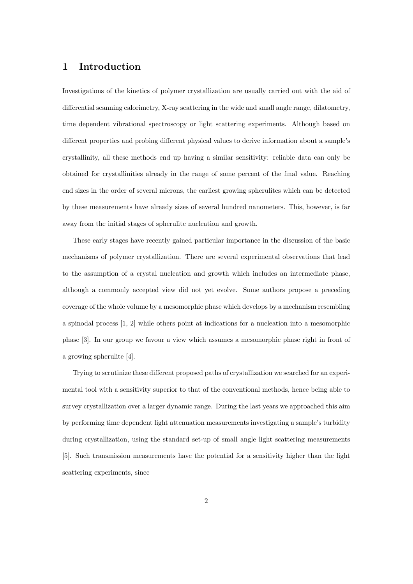## 1 Introduction

Investigations of the kinetics of polymer crystallization are usually carried out with the aid of differential scanning calorimetry, X-ray scattering in the wide and small angle range, dilatometry, time dependent vibrational spectroscopy or light scattering experiments. Although based on different properties and probing different physical values to derive information about a sample's crystallinity, all these methods end up having a similar sensitivity: reliable data can only be obtained for crystallinities already in the range of some percent of the final value. Reaching end sizes in the order of several microns, the earliest growing spherulites which can be detected by these measurements have already sizes of several hundred nanometers. This, however, is far away from the initial stages of spherulite nucleation and growth.

These early stages have recently gained particular importance in the discussion of the basic mechanisms of polymer crystallization. There are several experimental observations that lead to the assumption of a crystal nucleation and growth which includes an intermediate phase, although a commonly accepted view did not yet evolve. Some authors propose a preceding coverage of the whole volume by a mesomorphic phase which develops by a mechanism resembling a spinodal process [1, 2] while others point at indications for a nucleation into a mesomorphic phase [3]. In our group we favour a view which assumes a mesomorphic phase right in front of a growing spherulite [4].

Trying to scrutinize these different proposed paths of crystallization we searched for an experimental tool with a sensitivity superior to that of the conventional methods, hence being able to survey crystallization over a larger dynamic range. During the last years we approached this aim by performing time dependent light attenuation measurements investigating a sample's turbidity during crystallization, using the standard set-up of small angle light scattering measurements [5]. Such transmission measurements have the potential for a sensitivity higher than the light scattering experiments, since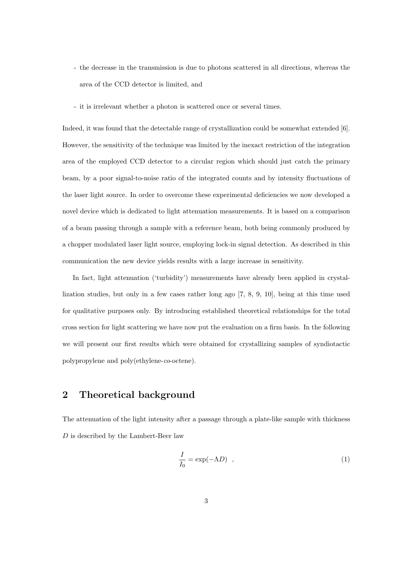- the decrease in the transmission is due to photons scattered in all directions, whereas the area of the CCD detector is limited, and
- it is irrelevant whether a photon is scattered once or several times.

Indeed, it was found that the detectable range of crystallization could be somewhat extended [6]. However, the sensitivity of the technique was limited by the inexact restriction of the integration area of the employed CCD detector to a circular region which should just catch the primary beam, by a poor signal-to-noise ratio of the integrated counts and by intensity fluctuations of the laser light source. In order to overcome these experimental deficiencies we now developed a novel device which is dedicated to light attenuation measurements. It is based on a comparison of a beam passing through a sample with a reference beam, both being commonly produced by a chopper modulated laser light source, employing lock-in signal detection. As described in this communication the new device yields results with a large increase in sensitivity.

In fact, light attenuation ('turbidity') measurements have already been applied in crystallization studies, but only in a few cases rather long ago [7, 8, 9, 10], being at this time used for qualitative purposes only. By introducing established theoretical relationships for the total cross section for light scattering we have now put the evaluation on a firm basis. In the following we will present our first results which were obtained for crystallizing samples of syndiotactic polypropylene and poly(ethylene-co-octene).

## 2 Theoretical background

The attenuation of the light intensity after a passage through a plate-like sample with thickness D is described by the Lambert-Beer law

$$
\frac{I}{I_0} = \exp(-\Lambda D) \quad , \tag{1}
$$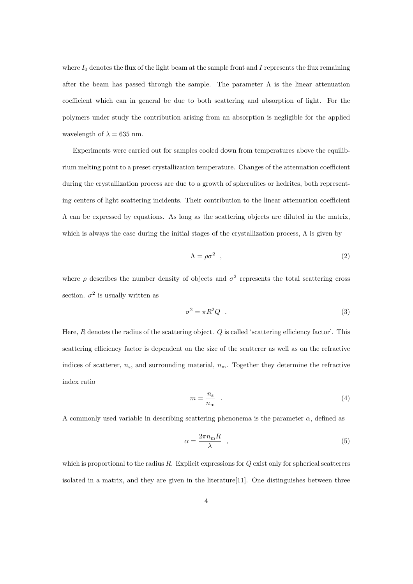where  $I_0$  denotes the flux of the light beam at the sample front and I represents the flux remaining after the beam has passed through the sample. The parameter  $\Lambda$  is the linear attenuation coefficient which can in general be due to both scattering and absorption of light. For the polymers under study the contribution arising from an absorption is negligible for the applied wavelength of  $\lambda = 635$  nm.

Experiments were carried out for samples cooled down from temperatures above the equilibrium melting point to a preset crystallization temperature. Changes of the attenuation coefficient during the crystallization process are due to a growth of spherulites or hedrites, both representing centers of light scattering incidents. Their contribution to the linear attenuation coefficient  $\Lambda$  can be expressed by equations. As long as the scattering objects are diluted in the matrix, which is always the case during the initial stages of the crystallization process,  $\Lambda$  is given by

$$
\Lambda = \rho \sigma^2 \quad , \tag{2}
$$

where  $\rho$  describes the number density of objects and  $\sigma^2$  represents the total scattering cross section.  $\sigma^2$  is usually written as

$$
\sigma^2 = \pi R^2 Q \quad . \tag{3}
$$

Here,  $R$  denotes the radius of the scattering object.  $Q$  is called 'scattering efficiency factor'. This scattering efficiency factor is dependent on the size of the scatterer as well as on the refractive indices of scatterer,  $n_s$ , and surrounding material,  $n_m$ . Together they determine the refractive index ratio

$$
m = \frac{n_{\rm s}}{n_{\rm m}} \tag{4}
$$

A commonly used variable in describing scattering phenonema is the parameter  $\alpha$ , defined as

$$
\alpha = \frac{2\pi n_{\rm m}R}{\lambda} \quad , \tag{5}
$$

which is proportional to the radius  $R$ . Explicit expressions for  $Q$  exist only for spherical scatterers isolated in a matrix, and they are given in the literature[11]. One distinguishes between three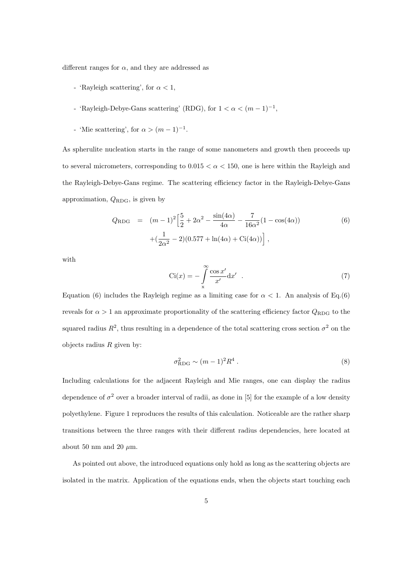different ranges for  $\alpha$ , and they are addressed as

- 'Rayleigh scattering', for  $\alpha < 1$ ,
- 'Rayleigh-Debye-Gans scattering' (RDG), for  $1 < \alpha < (m-1)^{-1}$ ,
- 'Mie scattering', for  $\alpha > (m-1)^{-1}$ .

As spherulite nucleation starts in the range of some nanometers and growth then proceeds up to several micrometers, corresponding to  $0.015 < \alpha < 150$ , one is here within the Rayleigh and the Rayleigh-Debye-Gans regime. The scattering efficiency factor in the Rayleigh-Debye-Gans approximation,  $Q_{\rm RDG}$ , is given by

$$
Q_{\text{RDG}} = (m-1)^2 \left[ \frac{5}{2} + 2\alpha^2 - \frac{\sin(4\alpha)}{4\alpha} - \frac{7}{16\alpha^2} (1 - \cos(4\alpha)) \right. \left. + \left( \frac{1}{2\alpha^2} - 2 \right) (0.577 + \ln(4\alpha) + \text{Ci}(4\alpha)) \right],
$$
 (6)

with

$$
Ci(x) = -\int_{x}^{\infty} \frac{\cos x'}{x'} dx' .
$$
 (7)

Equation (6) includes the Rayleigh regime as a limiting case for  $\alpha < 1$ . An analysis of Eq.(6) reveals for  $\alpha > 1$  an approximate proportionality of the scattering efficiency factor  $Q_{\rm RDG}$  to the squared radius  $R^2$ , thus resulting in a dependence of the total scattering cross section  $\sigma^2$  on the objects radius  $R$  given by:

$$
\sigma_{\text{RDG}}^2 \sim (m-1)^2 R^4 \ . \tag{8}
$$

Including calculations for the adjacent Rayleigh and Mie ranges, one can display the radius dependence of  $\sigma^2$  over a broader interval of radii, as done in [5] for the example of a low density polyethylene. Figure 1 reproduces the results of this calculation. Noticeable are the rather sharp transitions between the three ranges with their different radius dependencies, here located at about 50 nm and 20  $\mu$ m.

As pointed out above, the introduced equations only hold as long as the scattering objects are isolated in the matrix. Application of the equations ends, when the objects start touching each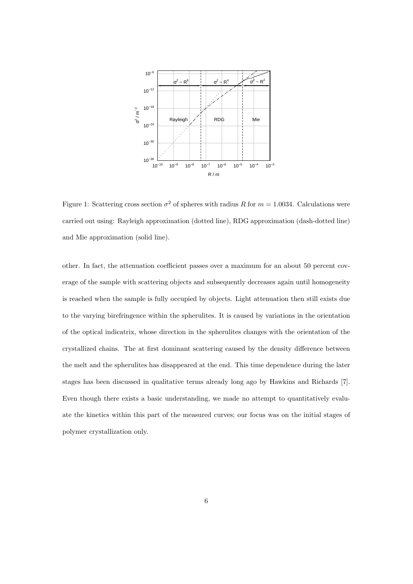

Figure 1: Scattering cross section  $\sigma^2$  of spheres with radius R for  $m = 1.0034$ . Calculations were carried out using: Rayleigh approximation (dotted line), RDG approximation (dash-dotted line) and Mie approximation (solid line).

other. In fact, the attenuation coefficient passes over a maximum for an about 50 percent coverage of the sample with scattering objects and subsequently decreases again until homogeneity is reached when the sample is fully occupied by objects. Light attenuation then still exists due to the varying birefringence within the spherulites. It is caused by variations in the orientation of the optical indicatrix, whose direction in the spherulites changes with the orientation of the crystallized chains. The at first dominant scattering caused by the density difference between the melt and the spherulites has disappeared at the end. This time dependence during the later stages has been discussed in qualitative terms already long ago by Hawkins and Richards [7]. Even though there exists a basic understanding, we made no attempt to quantitatively evaluate the kinetics within this part of the measured curves; our focus was on the initial stages of polymer crystallization only.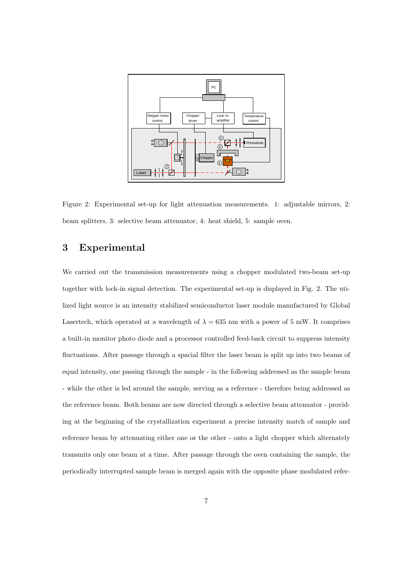

Figure 2: Experimental set-up for light attenuation measurements. 1: adjustable mirrors, 2: beam splitters, 3: selective beam attenuator, 4: heat shield, 5: sample oven.

# 3 Experimental

We carried out the transmission measurements using a chopper modulated two-beam set-up together with lock-in signal detection. The experimental set-up is displayed in Fig. 2. The utilized light source is an intensity stabilized semiconductor laser module manufactured by Global Lasertech, which operated at a wavelength of  $\lambda = 635$  nm with a power of 5 mW. It comprises a built-in monitor photo diode and a processor controlled feed-back circuit to suppress intensity fluctuations. After passage through a spacial filter the laser beam is split up into two beams of equal intensity, one passing through the sample - in the following addressed as the sample beam - while the other is led around the sample, serving as a reference - therefore being addressed as the reference beam. Both beams are now directed through a selective beam attenuator - providing at the beginning of the crystallization experiment a precise intensity match of sample and reference beam by attenuating either one or the other - onto a light chopper which alternately transmits only one beam at a time. After passage through the oven containing the sample, the periodically interrupted sample beam is merged again with the opposite phase modulated refer-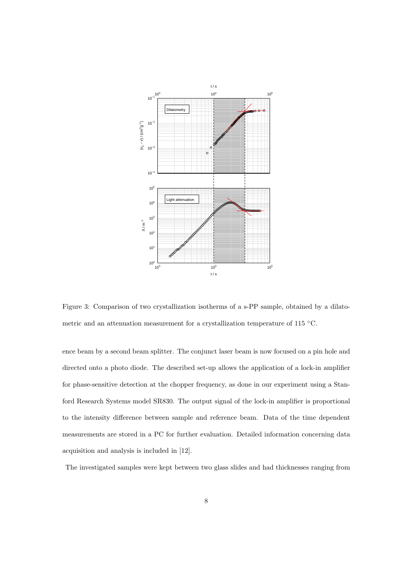

Figure 3: Comparison of two crystallization isotherms of a s-PP sample, obtained by a dilatometric and an attenuation measurement for a crystallization temperature of 115 ◦C.

ence beam by a second beam splitter. The conjunct laser beam is now focused on a pin hole and directed onto a photo diode. The described set-up allows the application of a lock-in amplifier for phase-sensitive detection at the chopper frequency, as done in our experiment using a Stanford Research Systems model SR830. The output signal of the lock-in amplifier is proportional to the intensity difference between sample and reference beam. Data of the time dependent measurements are stored in a PC for further evaluation. Detailed information concerning data acquisition and analysis is included in [12].

The investigated samples were kept between two glass slides and had thicknesses ranging from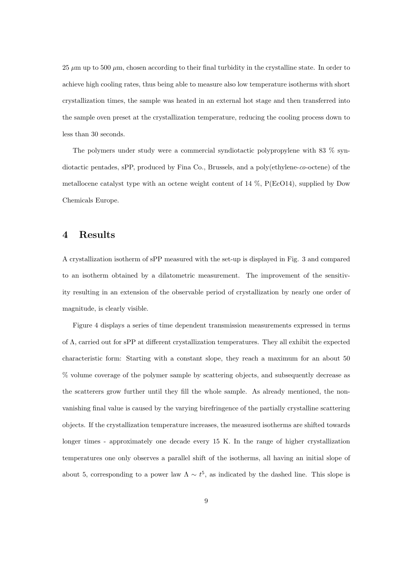25  $\mu$ m up to 500  $\mu$ m, chosen according to their final turbidity in the crystalline state. In order to achieve high cooling rates, thus being able to measure also low temperature isotherms with short crystallization times, the sample was heated in an external hot stage and then transferred into the sample oven preset at the crystallization temperature, reducing the cooling process down to less than 30 seconds.

The polymers under study were a commercial syndiotactic polypropylene with 83 % syndiotactic pentades, sPP, produced by Fina Co., Brussels, and a poly(ethylene-co-octene) of the metallocene catalyst type with an octene weight content of 14 %, P(EcO14), supplied by Dow Chemicals Europe.

#### 4 Results

A crystallization isotherm of sPP measured with the set-up is displayed in Fig. 3 and compared to an isotherm obtained by a dilatometric measurement. The improvement of the sensitivity resulting in an extension of the observable period of crystallization by nearly one order of magnitude, is clearly visible.

Figure 4 displays a series of time dependent transmission measurements expressed in terms of Λ, carried out for sPP at different crystallization temperatures. They all exhibit the expected characteristic form: Starting with a constant slope, they reach a maximum for an about 50 % volume coverage of the polymer sample by scattering objects, and subsequently decrease as the scatterers grow further until they fill the whole sample. As already mentioned, the nonvanishing final value is caused by the varying birefringence of the partially crystalline scattering objects. If the crystallization temperature increases, the measured isotherms are shifted towards longer times - approximately one decade every 15 K. In the range of higher crystallization temperatures one only observes a parallel shift of the isotherms, all having an initial slope of about 5, corresponding to a power law  $\Lambda \sim t^5$ , as indicated by the dashed line. This slope is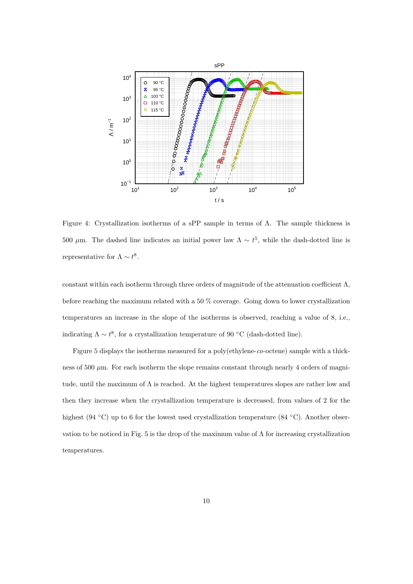

Figure 4: Crystallization isotherms of a sPP sample in terms of Λ. The sample thickness is 500 μm. The dashed line indicates an initial power law  $\Lambda \sim t^5$ , while the dash-dotted line is representative for  $\Lambda \sim t^8$ .

constant within each isotherm through three orders of magnitude of the attenuation coefficient  $\Lambda$ , before reaching the maximum related with a 50 % coverage. Going down to lower crystallization temperatures an increase in the slope of the isotherms is observed, reaching a value of 8, i.e., indicating  $\Lambda \sim t^8$ , for a crystallization temperature of 90 °C (dash-dotted line).

Figure 5 displays the isotherms measured for a poly(ethylene-co-octene) sample with a thickness of 500  $\mu$ m. For each isotherm the slope remains constant through nearly 4 orders of magnitude, until the maximum of  $\Lambda$  is reached. At the highest temperatures slopes are rather low and then they increase when the crystallization temperature is decreased, from values of 2 for the highest (94 °C) up to 6 for the lowest used crystallization temperature (84 °C). Another observation to be noticed in Fig. 5 is the drop of the maximum value of  $\Lambda$  for increasing crystallization temperatures.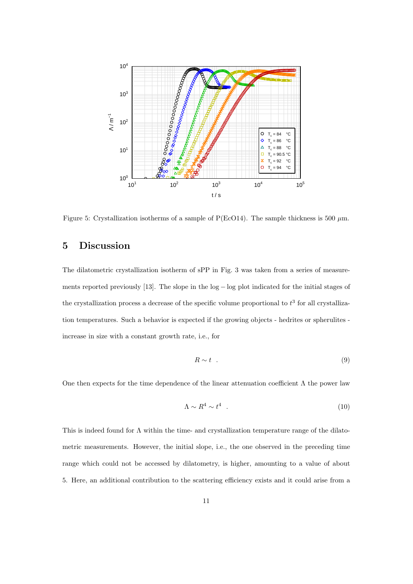

Figure 5: Crystallization isotherms of a sample of P(EcO14). The sample thickness is 500  $\mu$ m.

# 5 Discussion

The dilatometric crystallization isotherm of sPP in Fig. 3 was taken from a series of measurements reported previously [13]. The slope in the log − log plot indicated for the initial stages of the crystallization process a decrease of the specific volume proportional to  $t^3$  for all crystallization temperatures. Such a behavior is expected if the growing objects - hedrites or spherulites increase in size with a constant growth rate, i.e., for

$$
R \sim t \quad . \tag{9}
$$

One then expects for the time dependence of the linear attenuation coefficient  $\Lambda$  the power law

$$
\Lambda \sim R^4 \sim t^4 \quad . \tag{10}
$$

This is indeed found for  $\Lambda$  within the time- and crystallization temperature range of the dilatometric measurements. However, the initial slope, i.e., the one observed in the preceding time range which could not be accessed by dilatometry, is higher, amounting to a value of about 5. Here, an additional contribution to the scattering efficiency exists and it could arise from a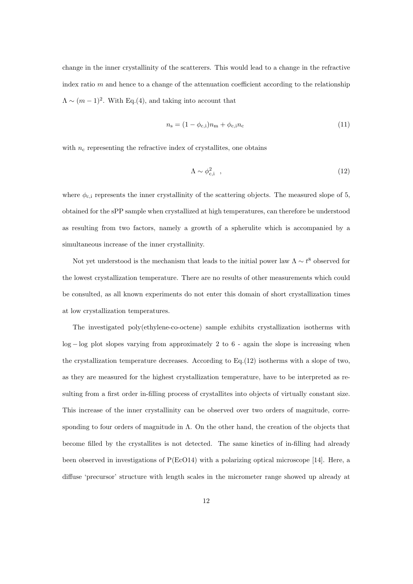change in the inner crystallinity of the scatterers. This would lead to a change in the refractive index ratio  $m$  and hence to a change of the attenuation coefficient according to the relationship  $\Lambda \sim (m-1)^2$ . With Eq.(4), and taking into account that

$$
n_{\rm s} = (1 - \phi_{\rm c,i})n_{\rm m} + \phi_{\rm c,i}n_{\rm c}
$$
\n(11)

with  $n_c$  representing the refractive index of crystallites, one obtains

$$
\Lambda \sim \phi_{\rm c,i}^2 \quad , \tag{12}
$$

where  $\phi_{c,i}$  represents the inner crystallinity of the scattering objects. The measured slope of 5, obtained for the sPP sample when crystallized at high temperatures, can therefore be understood as resulting from two factors, namely a growth of a spherulite which is accompanied by a simultaneous increase of the inner crystallinity.

Not yet understood is the mechanism that leads to the initial power law  $\Lambda \sim t^8$  observed for the lowest crystallization temperature. There are no results of other measurements which could be consulted, as all known experiments do not enter this domain of short crystallization times at low crystallization temperatures.

The investigated poly(ethylene-co-octene) sample exhibits crystallization isotherms with log − log plot slopes varying from approximately 2 to 6 - again the slope is increasing when the crystallization temperature decreases. According to Eq.(12) isotherms with a slope of two, as they are measured for the highest crystallization temperature, have to be interpreted as resulting from a first order in-filling process of crystallites into objects of virtually constant size. This increase of the inner crystallinity can be observed over two orders of magnitude, corresponding to four orders of magnitude in  $\Lambda$ . On the other hand, the creation of the objects that become filled by the crystallites is not detected. The same kinetics of in-filling had already been observed in investigations of P(EcO14) with a polarizing optical microscope [14]. Here, a diffuse 'precursor' structure with length scales in the micrometer range showed up already at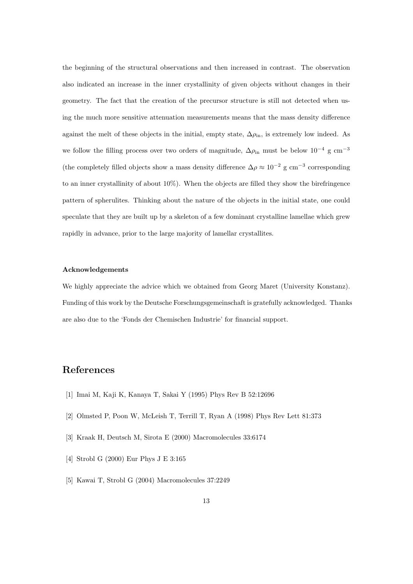the beginning of the structural observations and then increased in contrast. The observation also indicated an increase in the inner crystallinity of given objects without changes in their geometry. The fact that the creation of the precursor structure is still not detected when using the much more sensitive attenuation measurements means that the mass density difference against the melt of these objects in the initial, empty state,  $\Delta \rho_{\rm in}$ , is extremely low indeed. As we follow the filling process over two orders of magnitude,  $\Delta \rho_{\rm in}$  must be below  $10^{-4}$  g cm<sup>-3</sup> (the completely filled objects show a mass density difference  $\Delta \rho \approx 10^{-2}$  g cm<sup>-3</sup> corresponding to an inner crystallinity of about 10%). When the objects are filled they show the birefringence pattern of spherulites. Thinking about the nature of the objects in the initial state, one could speculate that they are built up by a skeleton of a few dominant crystalline lamellae which grew rapidly in advance, prior to the large majority of lamellar crystallites.

#### Acknowledgements

We highly appreciate the advice which we obtained from Georg Maret (University Konstanz). Funding of this work by the Deutsche Forschungsgemeinschaft is gratefully acknowledged. Thanks are also due to the 'Fonds der Chemischen Industrie' for financial support.

#### References

- [1] Imai M, Kaji K, Kanaya T, Sakai Y (1995) Phys Rev B 52:12696
- [2] Olmsted P, Poon W, McLeish T, Terrill T, Ryan A (1998) Phys Rev Lett 81:373
- [3] Kraak H, Deutsch M, Sirota E (2000) Macromolecules 33:6174
- [4] Strobl G (2000) Eur Phys J E 3:165
- [5] Kawai T, Strobl G (2004) Macromolecules 37:2249